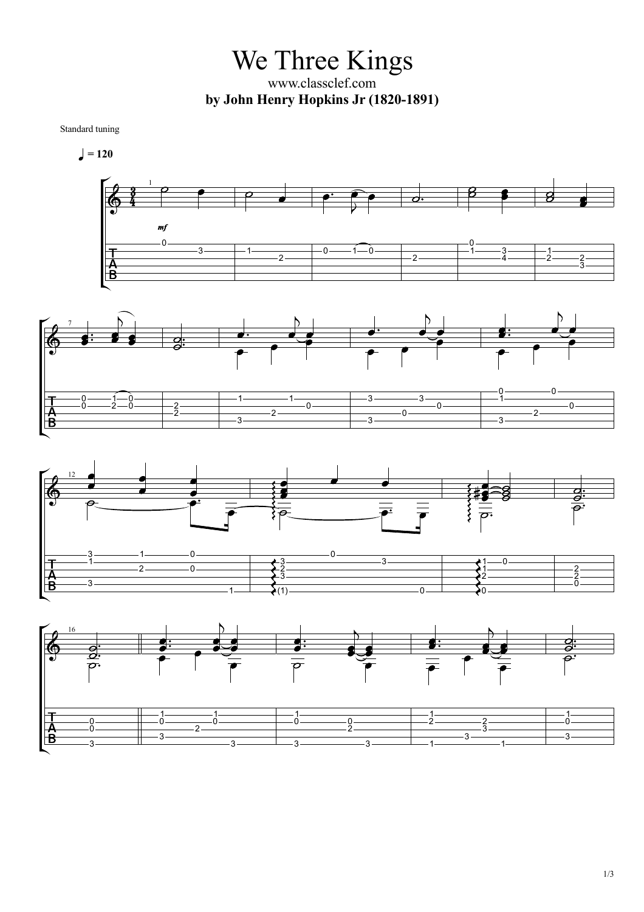We Three Kings www.classclef.com **by John Henry Hopkins Jr(1820-1891)**

Standard tuning

 $= 120$ 







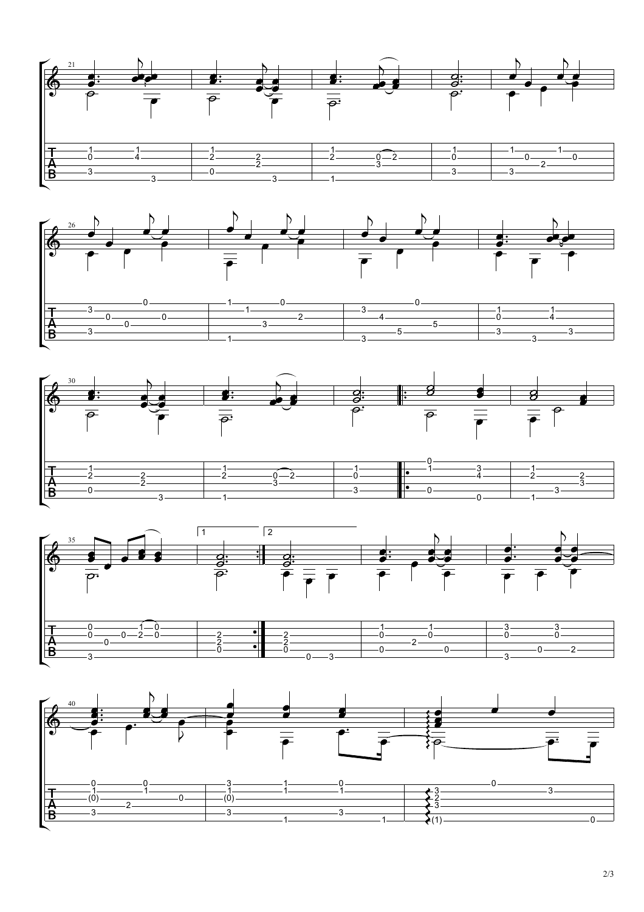